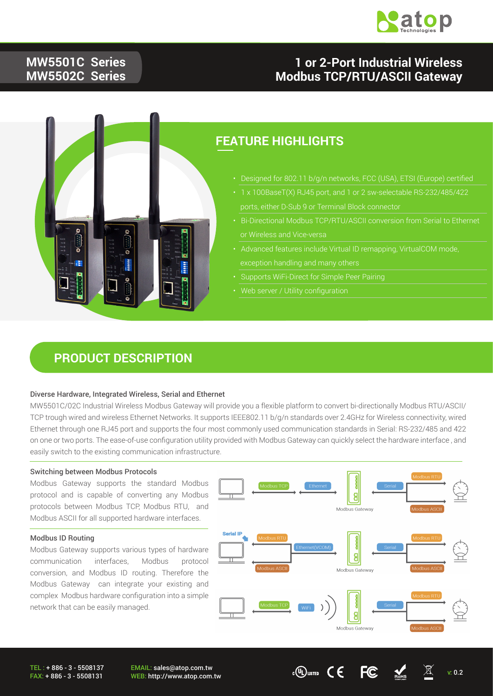

### **MW5501C Series MW5502C Series**

### **1 or 2-Port Industrial Wireless Modbus TCP/RTU/ASCII Gateway**



### **FEATURE HIGHLIGHTS**

- Designed for 802.11 b/g/n networks, FCC (USA), ETSI (Europe) certified
- 1 x 100BaseT(X) RJ45 port, and 1 or 2 sw-selectable RS-232/485/422
- Bi-Directional Modbus TCP/RTU/ASCII conversion from Serial to Ethernet or Wireless and Vice-versa
- Advanced features include Virtual ID remapping, VirtualCOM mode,
- Supports WiFi-Direct for Simple Peer Pairing
- 

### **PRODUCT DESCRIPTION**

#### Diverse Hardware, Integrated Wireless, Serial and Ethernet

MW5501C/02C Industrial Wireless Modbus Gateway will provide you a flexible platform to convert bi-directionally Modbus RTU/ASCII/ TCP trough wired and wireless Ethernet Networks. It supports IEEE802.11 b/g/n standards over 2.4GHz for Wireless connectivity, wired Ethernet through one RJ45 port and supports the four most commonly used communication standards in Serial: RS-232/485 and 422 on one or two ports. The ease-of-use configuration utility provided with Modbus Gateway can quickly select the hardware interface , and easily switch to the existing communication infrastructure.

#### Switching between Modbus Protocols

Modbus Gateway supports the standard Modbus protocol and is capable of converting any Modbus protocols between Modbus TCP, Modbus RTU, and Modbus ASCII for all supported hardware interfaces.

#### Modbus ID Routing

Modbus Gateway supports various types of hardware communication interfaces, Modbus protocol conversion, and Modbus ID routing. Therefore the Modbus Gateway can integrate your existing and complex Modbus hardware configuration into a simple network that can be easily managed.



TEL : + 886 - 3 - 5508137 FAX: + 886 - 3 - 5508131

EMAIL: sales@atop.com.tw EMAIL: sales@atop.com.tw<br>WEB: http://www.atop.com.tw v: 0.2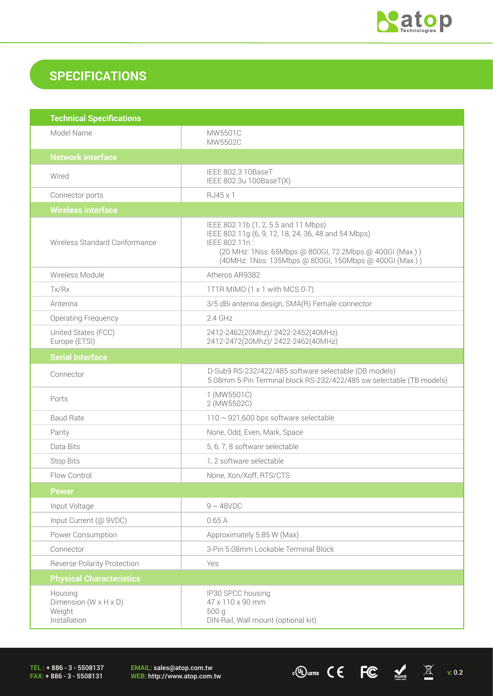

 $\frac{1}{2}$  (U) LISTED C C FC ROMS  $\overline{\mathbb{X}}$  v: 0.2

### **SPECIFICATIONS**

| <b>Technical Specifications</b>                                          |                                                                                                                                                                                                                                   |
|--------------------------------------------------------------------------|-----------------------------------------------------------------------------------------------------------------------------------------------------------------------------------------------------------------------------------|
| Model Name                                                               | MW5501C<br>MW5502C                                                                                                                                                                                                                |
| <b>Network interface</b>                                                 |                                                                                                                                                                                                                                   |
| Wired                                                                    | IEEE 802.3 10BaseT<br>IEEE 802.3u 100BaseT(X)                                                                                                                                                                                     |
| Connector ports                                                          | RJ45 x 1                                                                                                                                                                                                                          |
| <b>Wireless interface</b>                                                |                                                                                                                                                                                                                                   |
| Wireless Standard Conformance                                            | IEEE 802.11b (1, 2, 5.5 and 11 Mbps)<br>IEEE 802.11g (6, 9, 12, 18, 24, 36, 48 and 54 Mbps)<br>IEEE 802.11n:<br>(20 MHz: 1Nss: 65Mbps @ 800Gl, 72.2Mbps @ 400Gl (Max.))<br>(40MHz: 1Nss: 135Mbps @ 800Gl, 150Mbps @ 400Gl (Max.)) |
| Wireless Module                                                          | Atheros AR9382                                                                                                                                                                                                                    |
| Tx/Rx                                                                    | 1T1R MIMO (1 x 1 with MCS 0-7)                                                                                                                                                                                                    |
| Antenna                                                                  | 3/5 dBi antenna design, SMA(R) Female connector                                                                                                                                                                                   |
| <b>Operating Frequency</b>                                               | $2.4$ GHz                                                                                                                                                                                                                         |
| United States (FCC)<br>Europe (ETSI)                                     | 2412-2462(20Mhz)/ 2422-2452(40MHz)<br>2412-2472(20Mhz)/ 2422-2462(40MHz)                                                                                                                                                          |
| <b>Serial Interface</b>                                                  |                                                                                                                                                                                                                                   |
| Connector                                                                | D-Sub9 RS-232/422/485 software selectable (DB models)<br>5.08mm 5-Pin Terminal block RS-232/422/485 sw selectable (TB models)                                                                                                     |
| Ports                                                                    | 1 (MW5501C)<br>2 (MW5502C)                                                                                                                                                                                                        |
| <b>Baud Rate</b>                                                         | $110 \sim 921,600$ bps software selectable                                                                                                                                                                                        |
| Parity                                                                   | None, Odd, Even, Mark, Space                                                                                                                                                                                                      |
| Data Bits                                                                | 5, 6, 7, 8 software selectable                                                                                                                                                                                                    |
| Stop Bits                                                                | 1, 2 software selectable                                                                                                                                                                                                          |
| Flow Control                                                             | None, Xon/Xoff, RTS/CTS                                                                                                                                                                                                           |
| <b>Power</b>                                                             |                                                                                                                                                                                                                                   |
| Input Voltage                                                            | $9 \sim 48$ VDC                                                                                                                                                                                                                   |
| Input Current (@ 9VDC)                                                   | 0.65A                                                                                                                                                                                                                             |
| Power Consumption                                                        | Approximately 5.85 W (Max)                                                                                                                                                                                                        |
| Connector                                                                | 3-Pin 5.08mm Lockable Terminal Block                                                                                                                                                                                              |
| <b>Reverse Polarity Protection</b>                                       | Yes                                                                                                                                                                                                                               |
| <b>Physical Characteristics</b>                                          |                                                                                                                                                                                                                                   |
| Housing<br>Dimension ( $W \times H \times D$ )<br>Weight<br>Installation | IP30 SPCC housing<br>47 x 110 x 90 mm<br>500 g<br>DIN-Rail, Wall mount (optional kit)                                                                                                                                             |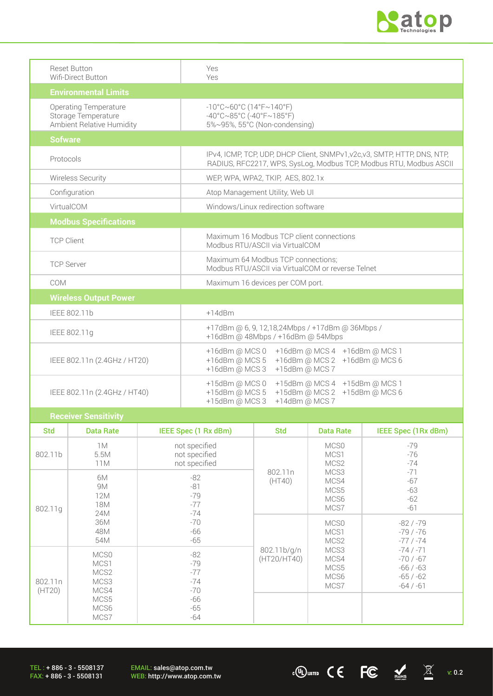

| <b>Reset Button</b>          | Yes                                                                       |  |  |
|------------------------------|---------------------------------------------------------------------------|--|--|
| Wifi-Direct Button           | Yes                                                                       |  |  |
| <b>Environmental Limits</b>  |                                                                           |  |  |
| <b>Operating Temperature</b> | $-10^{\circ}$ C~60°C (14°F~140°F)                                         |  |  |
| Storage Temperature          | $-40^{\circ}$ C $\sim$ 85°C (-40°F $\sim$ 185°F)                          |  |  |
| Ambient Relative Humidity    | 5%~95%, 55°C (Non-condensing)                                             |  |  |
| <b>Sofware</b>               |                                                                           |  |  |
| Protocols                    | IPv4, ICMP, TCP, UDP, DHCP Client, SNMPv1, v2c, v3, SMTP, HTTP, DNS, NTP, |  |  |
|                              | RADIUS, RFC2217, WPS, SysLog, Modbus TCP, Modbus RTU, Modbus ASCII        |  |  |
| Wireless Security            | WEP, WPA, WPA2, TKIP, AES, 802.1x                                         |  |  |
| Configuration                | Atop Management Utility, Web UI                                           |  |  |
| VirtualCOM                   | Windows/Linux redirection software                                        |  |  |
| <b>Modbus Specifications</b> |                                                                           |  |  |
|                              | Maximum 16 Modbus TCP client connections                                  |  |  |
| <b>TCP Client</b>            | Modbus RTU/ASCII via VirtualCOM                                           |  |  |
| <b>TCP Server</b>            | Maximum 64 Modbus TCP connections;                                        |  |  |
|                              | Modbus BTU/ASCII via VirtualCOM or reverse Telnet                         |  |  |
| COM                          | Maximum 16 devices per COM port.                                          |  |  |
| <b>Wireless Output Power</b> |                                                                           |  |  |
| IEEE 802.11b                 | $+14$ d $Bm$                                                              |  |  |
|                              | +17dBm @ 6, 9, 12,18,24Mbps / +17dBm @ 36Mbps /                           |  |  |
| IEEE 802.11g                 | +16dBm @ 48Mbps / +16dBm @ 54Mbps                                         |  |  |
|                              | +16dBm @ MCS 0<br>+16dBm @ MCS 4 +16dBm @ MCS 1                           |  |  |
| IEEE 802.11n (2.4GHz / HT20) | +16dBm @ MCS 2 +16dBm @ MCS 6<br>+16dBm @ MCS 5                           |  |  |
|                              | +16dBm @ MCS 3<br>+15dBm @ MCS 7                                          |  |  |
|                              | +15dBm @ MCS 0<br>+15dBm @ MCS 4 +15dBm @ MCS 1                           |  |  |
| IEEE 802.11n (2.4GHz / HT40) | +15dBm @ MCS 5<br>+15dBm @ MCS 2 +15dBm @ MCS 6                           |  |  |
|                              | +15dBm @ MCS 3<br>+14dBm @ MCS 7                                          |  |  |
| Receiver Sensitivity         |                                                                           |  |  |

|                      | <b>HEPEREI OCHORNICA</b>                         |                                                                      |                            |                                      |                                                                    |
|----------------------|--------------------------------------------------|----------------------------------------------------------------------|----------------------------|--------------------------------------|--------------------------------------------------------------------|
| <b>Std</b>           | <b>Data Rate</b>                                 | IEEE Spec (1 Rx dBm)                                                 | <b>Std</b>                 | <b>Data Rate</b>                     | IEEE Spec (1Rx dBm)                                                |
| 802.11b              | 1M<br>5.5M<br>11M                                | not specified<br>not specified<br>not specified                      |                            | MCS0<br>MCS1<br>MCS2                 | $-79$<br>$-76$<br>$-74$                                            |
| 802.11g              | 6M<br>9M<br>12M<br>18M<br>24M                    | $-82$<br>$-81$<br>$-79$<br>$-77$<br>$-74$<br>$-70$<br>$-66$<br>$-65$ | 802.11n<br>(HT40)          | MCS3<br>MCS4<br>MCS5<br>MCS6<br>MCS7 | $-71$<br>$-67$<br>-63<br>$-62$<br>$-61$                            |
|                      | 36M<br>48M<br>54M                                |                                                                      |                            | MCS0<br>MCS1<br>MCS2                 | $-82/ -79$<br>$-79/ -76$<br>$-77/ -74$                             |
| 802.11n<br>(HT20)    | MCS0<br>MCS1<br>MCS <sub>2</sub><br>MCS3<br>MCS4 | $-82$<br>$-79$<br>$-77$<br>$-74$<br>$-70$                            | 802.11b/g/n<br>(HT20/HT40) | MCS3<br>MCS4<br>MCS5<br>MCS6<br>MCS7 | $-74/ -71$<br>$-70/ -67$<br>$-66/ -63$<br>$-65/ -62$<br>$-64/ -61$ |
| MCS5<br>MCS6<br>MCS7 | -66<br>$-65$<br>$-64$                            |                                                                      |                            |                                      |                                                                    |

 $\cdot$  (U) usted  $\bullet$  C  $\bullet$  FC  $\bullet$  Rots  $\quad$   $\overline{\mathbb{X}}$  v: 0.2

EMAIL: sales@atop.com.tw<br>WEB: http://www.atop.com.tw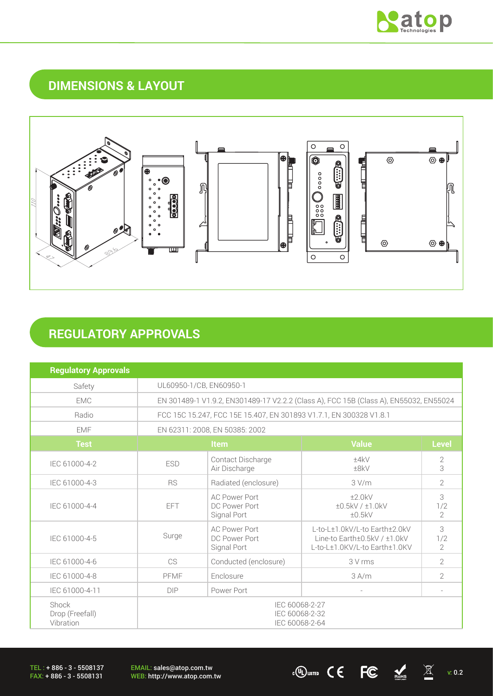

### **DIMENSIONS & LAYOUT**



## **REGULATORY APPROVALS**

| <b>Regulatory Approvals</b>           |                                                                                       |                                                      |                                                                                                |                            |
|---------------------------------------|---------------------------------------------------------------------------------------|------------------------------------------------------|------------------------------------------------------------------------------------------------|----------------------------|
| Safety                                | UL60950-1/CB, EN60950-1                                                               |                                                      |                                                                                                |                            |
| <b>EMC</b>                            | EN 301489-1 V1.9.2, EN301489-17 V2.2.2 (Class A), FCC 15B (Class A), EN55032, EN55024 |                                                      |                                                                                                |                            |
| Radio                                 | FCC 15C 15.247, FCC 15E 15.407, EN 301893 V1.7.1, EN 300328 V1.8.1                    |                                                      |                                                                                                |                            |
| <b>EMF</b>                            |                                                                                       | EN 62311: 2008, EN 50385: 2002                       |                                                                                                |                            |
| <b>Test</b>                           | <b>Value</b><br><b>Item</b>                                                           |                                                      |                                                                                                | <b>Level</b>               |
| IEC 61000-4-2                         | <b>ESD</b>                                                                            | Contact Discharge<br>Air Discharge                   | ±4kV<br>±8kV                                                                                   | 2<br>3                     |
| IEC 61000-4-3                         | <b>RS</b>                                                                             | Radiated (enclosure)                                 | 3 V/m                                                                                          | $\overline{2}$             |
| IEC 61000-4-4                         | FFT                                                                                   | <b>AC Power Port</b><br>DC Power Port<br>Signal Port | ±2.0kV<br>±0.5kV / ±1.0kV<br>±0.5kV                                                            | 3<br>1/2<br>$\overline{2}$ |
| IEC 61000-4-5                         | Surge                                                                                 | <b>AC Power Port</b><br>DC Power Port<br>Signal Port | L-to-L±1.0kV/L-to Earth±2.0kV<br>Line-to Earth±0.5kV / ±1.0kV<br>L-to-L±1.0KV/L-to Earth±1.0KV | 3<br>1/2<br>$\overline{2}$ |
| IEC 61000-4-6                         | C <sub>S</sub>                                                                        | Conducted (enclosure)                                | 3 V rms                                                                                        | $\overline{2}$             |
| IEC 61000-4-8                         | PFMF                                                                                  | Enclosure                                            | 3 A/m                                                                                          | $\overline{2}$             |
| IEC 61000-4-11                        | <b>DIP</b>                                                                            | Power Port                                           |                                                                                                |                            |
| Shock<br>Drop (Freefall)<br>Vibration | IEC 60068-2-27<br>IEC 60068-2-32<br>IEC 60068-2-64                                    |                                                      |                                                                                                |                            |